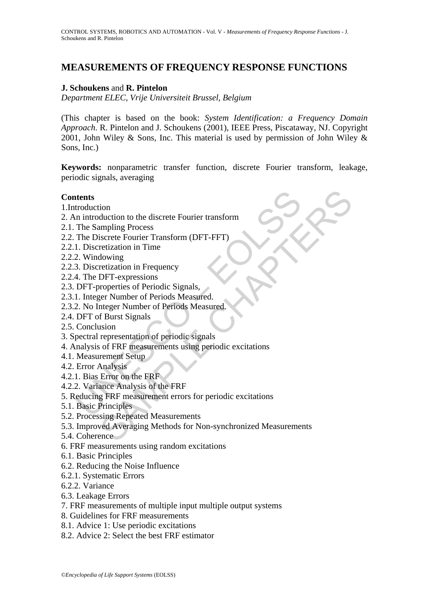# **MEASUREMENTS OF FREQUENCY RESPONSE FUNCTIONS**

## **J. Schoukens** and **R. Pintelon**

*Department ELEC, Vrije Universiteit Brussel, Belgium* 

(This chapter is based on the book: *System Identification: a Frequency Domain Approach*. R. Pintelon and J. Schoukens (2001), IEEE Press, Piscataway, NJ. Copyright 2001, John Wiley & Sons, Inc. This material is used by permission of John Wiley  $\&$ Sons, Inc.)

**Keywords:** nonparametric transfer function, discrete Fourier transform, leakage, periodic signals, averaging

### **Contents**

- 1.Introduction
- 2. An introduction to the discrete Fourier transform
- 2.1. The Sampling Process
- 2.2. The Discrete Fourier Transform (DFT-FFT)
- 2.2.1. Discretization in Time
- 2.2.2. Windowing
- 2.2.3. Discretization in Frequency
- 2.2.4. The DFT-expressions
- 2.3. DFT-properties of Periodic Signals,
- 2.3.1. Integer Number of Periods Measured.
- 2.3.2. No Integer Number of Periods Measured.
- 2.4. DFT of Burst Signals
- 2.5. Conclusion
- 3. Spectral representation of periodic signals
- 4. Analysis of FRF measurements using periodic excitations
- 4.1. Measurement Setup
- 4.2. Error Analysis
- 4.2.1. Bias Error on the FRF
- 4.2.2. Variance Analysis of the FRF
- **thents**<br>
troduction<br>
in introduction to the discrete Fourier transform<br>
The Discrete Fourier Transform (DFT-FFT)<br>
1. Discretization in Time<br>
1. Discretization in Frequency<br>
2. Windowing<br>
3. Discretization in Frequency<br>
4. 5. Reducing FRF measurement errors for periodic excitations
- 5.1. Basic Principles
- 5.2. Processing Repeated Measurements
- ion<br>
duction to the discrete Fourier transform<br>
Impling Process<br>
iscrete Fourier Transform (DFT-FFT)<br>
retization in Time<br>
retization in Frequency<br>
DFT-expressions<br>
reper Number of Periodic Signals<br>
reper Number of Periodic 5.3. Improved Averaging Methods for Non-synchronized Measurements
- 5.4. Coherence
- 6. FRF measurements using random excitations
- 6.1. Basic Principles
- 6.2. Reducing the Noise Influence
- 6.2.1. Systematic Errors
- 6.2.2. Variance
- 6.3. Leakage Errors
- 7. FRF measurements of multiple input multiple output systems
- 8. Guidelines for FRF measurements
- 8.1. Advice 1: Use periodic excitations
- 8.2. Advice 2: Select the best FRF estimator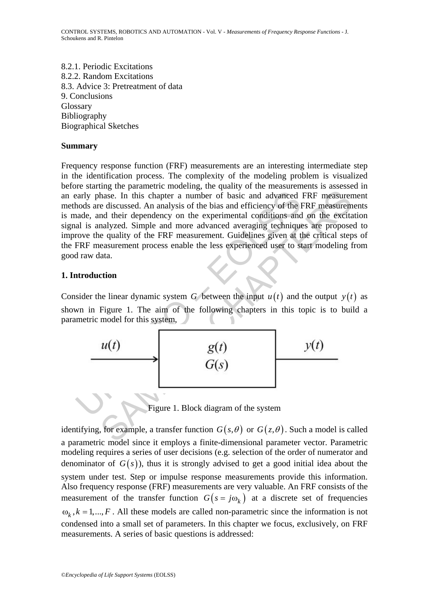8.2.1. Periodic Excitations 8.2.2. Random Excitations 8.3. Advice 3: Pretreatment of data 9. Conclusions Glossary Bibliography Biographical Sketches

## **Summary**

mase. In this chapter a number of basic and advanced FRF measurer<br>
e discussed. An analysis of the bias and efficiency of the FRF measurem<br>
alter dependency on the experimental conditions and on the excitation<br>
malyzed. S Frequency response function (FRF) measurements are an interesting intermediate step in the identification process. The complexity of the modeling problem is visualized before starting the parametric modeling, the quality of the measurements is assessed in an early phase. In this chapter a number of basic and advanced FRF measurement methods are discussed. An analysis of the bias and efficiency of the FRF measurements is made, and their dependency on the experimental conditions and on the excitation signal is analyzed. Simple and more advanced averaging techniques are proposed to improve the quality of the FRF measurement. Guidelines given at the critical steps of the FRF measurement process enable the less experienced user to start modeling from good raw data.

## **1. Introduction**

Consider the linear dynamic system *G* between the input  $u(t)$  and the output  $y(t)$  as shown in Figure 1. The aim of the following chapters in this topic is to build a parametric model for this system,



Figure 1. Block diagram of the system

identifying, for example, a transfer function  $G(s, \theta)$  or  $G(z, \theta)$ . Such a model is called a parametric model since it employs a finite-dimensional parameter vector. Parametric modeling requires a series of user decisions (e.g. selection of the order of numerator and denominator of  $G(s)$ ), thus it is strongly advised to get a good initial idea about the system under test. Step or impulse response measurements provide this information. Also frequency response (FRF) measurements are very valuable. An FRF consists of the measurement of the transfer function  $G(s = j\omega_k)$  at a discrete set of frequencies  $\omega_k$ ,  $k = 1, \dots, F$ . All these models are called non-parametric since the information is not condensed into a small set of parameters. In this chapter we focus, exclusively, on FRF measurements. A series of basic questions is addressed: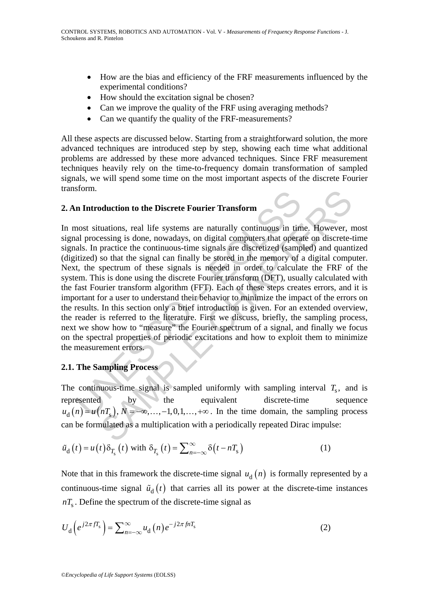- How are the bias and efficiency of the FRF measurements influenced by the experimental conditions?
- How should the excitation signal be chosen?
- Can we improve the quality of the FRF using averaging methods?
- Can we quantify the quality of the FRF-measurements?

All these aspects are discussed below. Starting from a straightforward solution, the more advanced techniques are introduced step by step, showing each time what additional problems are addressed by these more advanced techniques. Since FRF measurement techniques heavily rely on the time-to-frequency domain transformation of sampled signals, we will spend some time on the most important aspects of the discrete Fourier transform.

## **2. An Introduction to the Discrete Fourier Transform**

**n Introduction to the Discrete Fourier Transform**<br>
most situations, real life systems are naturally continuous in tim<br>
all processing is done, nowadays, on digital computers that opera<br>
alls. In practice the continuous-t **oduction to the Discrete Fourier Transform**<br>
tuations, real life systems are naturally continuous in time. However, ressing is done, nowadays, on digital computers that operate on discrete-<br>
practice the continuous-time In most situations, real life systems are naturally continuous in time. However, most signal processing is done, nowadays, on digital computers that operate on discrete-time signals. In practice the continuous-time signals are discretized (sampled) and quantized (digitized) so that the signal can finally be stored in the memory of a digital computer. Next, the spectrum of these signals is needed in order to calculate the FRF of the system. This is done using the discrete Fourier transform (DFT), usually calculated with the fast Fourier transform algorithm (FFT). Each of these steps creates errors, and it is important for a user to understand their behavior to minimize the impact of the errors on the results. In this section only a brief introduction is given. For an extended overview, the reader is referred to the literature. First we discuss, briefly, the sampling process, next we show how to "measure" the Fourier spectrum of a signal, and finally we focus on the spectral properties of periodic excitations and how to exploit them to minimize the measurement errors.

## **2.1. The Sampling Process**

The continuous-time signal is sampled uniformly with sampling interval  $T_s$ , and is represented by the equivalent discrete-time sequence  $u_d(n) = u(nT_s)$ ,  $N = -\infty, ..., -1, 0, 1, ..., +\infty$ . In the time domain, the sampling process can be formulated as a multiplication with a periodically repeated Dirac impulse:

$$
\tilde{u}_{d}(t) = u(t)\delta_{T_{s}}(t) \text{ with } \delta_{T_{s}}(t) = \sum_{n=-\infty}^{\infty} \delta(t - nT_{s})
$$
\n(1)

Note that in this framework the discrete-time signal  $u_d(n)$  is formally represented by a continuous-time signal  $\tilde{u}_d(t)$  that carries all its power at the discrete-time instances  $nT<sub>s</sub>$ . Define the spectrum of the discrete-time signal as

$$
U_{\rm d}\left(e^{j2\pi fT_{\rm s}}\right) = \sum_{n=-\infty}^{\infty} u_{\rm d}\left(n\right)e^{-j2\pi f nT_{\rm s}}\tag{2}
$$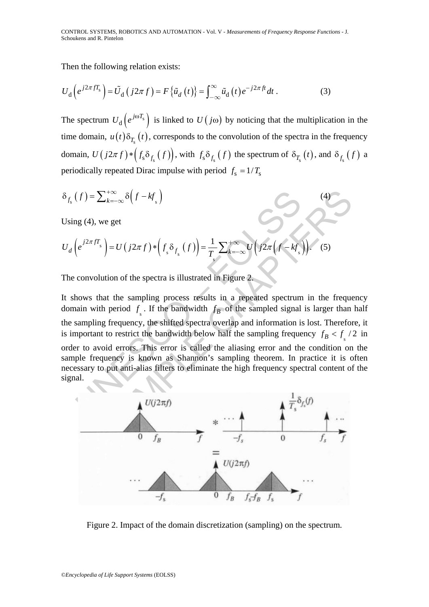CONTROL SYSTEMS, ROBOTICS AND AUTOMATION - Vol. V - *Measurements of Frequency Response Functions* - J. Schoukens and R. Pintelon

Then the following relation exists:

$$
U_{d}\left(e^{j2\pi fT_{s}}\right) = \tilde{U}_{d}\left(j2\pi f\right) = F\left\{\tilde{u}_{d}\left(t\right)\right\} = \int_{-\infty}^{\infty} \tilde{u}_{d}\left(t\right)e^{-j2\pi ft}dt\,. \tag{3}
$$

The spectrum  $U_d \left( e^{j\omega T_s} \right)$  is linked to  $U(j\omega)$  by noticing that the multiplication in the time domain,  $u(t) \delta_T(t)$ , corresponds to the convolution of the spectra in the frequency domain,  $U(j2\pi f) * (f_s \delta_{f_s}(f))$ , with  $f_s \delta_{f_s}(f)$  the spectrum of  $\delta_{T_s}(t)$ , and  $\delta_{f_s}(f)$  a periodically repeated Dirac impulse with period  $f_s = 1/T_s$ 

$$
\delta_{f_s}(f) = \sum_{k=-\infty}^{+\infty} \delta\left(f - kf_s\right) \tag{4}
$$

Using (4), we get

$$
U_d\left(e^{j2\pi fT_s}\right) = U\left(j2\pi f\right) * \left(f_s \delta_{f_s}\left(f\right)\right) = \frac{1}{T_s} \sum_{k=-\infty}^{+\infty} U\left(j2\pi \left(f - kf_s\right)\right). \tag{5}
$$

The convolution of the spectra is illustrated in Figure 2.

 $(f) = \sum_{k=-\infty}^{+\infty} \delta(f - kf_s)$ <br>
ng (4), we get<br>  $(e^{j2\pi f T_s}) = U(j2\pi f) * (f_s \delta_{f_s}(f)) = \frac{1}{T} \sum_{k=-\infty}^{+\infty} U(j2\pi (f - kf_s))$ <br>
convolution of the spectra is illustrated in Figure 2.<br>
hows that the sampling process results in a repeated s  $\sum_{k=-\infty}^{+\infty} \delta(f - kf_s)$ <br>
we get<br>  $\sum_{k=-\infty}^{+\infty} \delta(f - kf_s) = U(j2\pi f) * (f_s \delta_{f_s}(f)) = \frac{1}{T} \sum_{k=-\infty}^{+\infty} U(j2\pi (f - kf_s)).$  (5)<br>
tution of the spectra is illustrated in Figure 2.<br>
hat the sampling process results in a repeated spectrum It shows that the sampling process results in a repeated spectrum in the frequency domain with period  $f<sub>s</sub>$ . If the bandwidth  $f<sub>B</sub>$  of the sampled signal is larger than half the sampling frequency, the shifted spectra overlap and information is lost. Therefore, it is important to restrict the bandwidth below half the sampling frequency  $f_B < f_c / 2$  in order to avoid errors. This error is called the aliasing error and the condition on the sample frequency is known as Shannon's sampling theorem. In practice it is often necessary to put anti-alias filters to eliminate the high frequency spectral content of the signal.



Figure 2. Impact of the domain discretization (sampling) on the spectrum.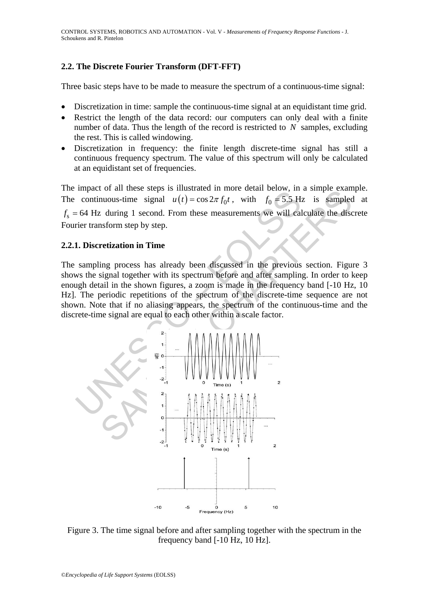## **2.2. The Discrete Fourier Transform (DFT-FFT)**

Three basic steps have to be made to measure the spectrum of a continuous-time signal:

- Discretization in time: sample the continuous-time signal at an equidistant time grid.
- Restrict the length of the data record: our computers can only deal with a finite number of data. Thus the length of the record is restricted to *N* samples, excluding the rest. This is called windowing.
- Discretization in frequency: the finite length discrete-time signal has still a continuous frequency spectrum. The value of this spectrum will only be calculated at an equidistant set of frequencies.

The impact of all these steps is illustrated in more detail below, in a simple example. The continuous-time signal  $u(t) = \cos 2\pi f_0 t$ , with  $f_0 = 5.5$  Hz is sampled at  $f<sub>s</sub>$  = 64 Hz during 1 second. From these measurements we will calculate the discrete Fourier transform step by step.

## **2.2.1. Discretization in Time**

The sampling process has already been discussed in the previous section. Figure 3 shows the signal together with its spectrum before and after sampling. In order to keep enough detail in the shown figures, a zoom is made in the frequency band [-10 Hz, 10 Hz]. The periodic repetitions of the spectrum of the discrete-time sequence are not shown. Note that if no aliasing appears, the spectrum of the continuous-time and the discrete-time signal are equal to each other within a scale factor.



Figure 3. The time signal before and after sampling together with the spectrum in the frequency band [-10 Hz, 10 Hz].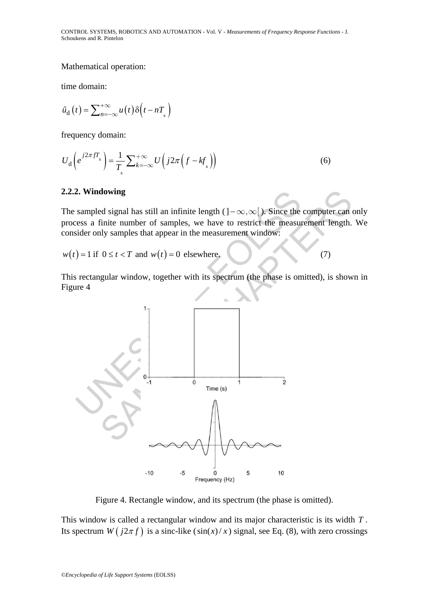CONTROL SYSTEMS, ROBOTICS AND AUTOMATION - Vol. V - *Measurements of Frequency Response Functions* - J. Schoukens and R. Pintelon

Mathematical operation:

time domain:

$$
\tilde{u}_{\rm d}(t) = \sum_{n=-\infty}^{+\infty} u(t) \delta(t - nT_{\rm s})
$$

frequency domain:

$$
U_{\rm d}\left(e^{j2\pi fT_{\rm s}}\right) = \frac{1}{T_{\rm s}}\sum_{k=-\infty}^{+\infty} U\left(j2\pi\left(f - kf_{\rm s}\right)\right) \tag{6}
$$

### **2.2.2. Windowing**

The sampled signal has still an infinite length ( $]-\infty,\infty[$ ). Since the computer can only process a finite number of samples, we have to restrict the measurement length. We consider only samples that appear in the measurement window:

 $w(t) = 1$  if  $0 \le t < T$  and  $w(t) = 0$  elsewhere. (7)

This rectangular window, together with its spectrum (the phase is omitted), is shown in Figure 4



Figure 4. Rectangle window, and its spectrum (the phase is omitted).

This window is called a rectangular window and its major characteristic is its width *T* . Its spectrum  $W(j2\pi f)$  is a sinc-like  $(\sin(x)/x)$  signal, see Eq. (8), with zero crossings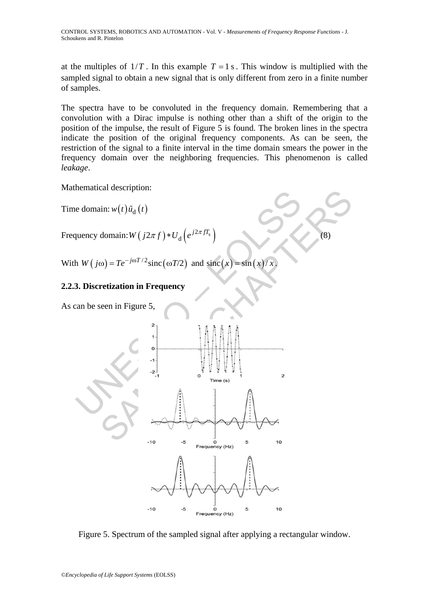at the multiples of  $1/T$ . In this example  $T = 1$  s. This window is multiplied with the sampled signal to obtain a new signal that is only different from zero in a finite number of samples.

The spectra have to be convoluted in the frequency domain. Remembering that a convolution with a Dirac impulse is nothing other than a shift of the origin to the position of the impulse, the result of Figure 5 is found. The broken lines in the spectra indicate the position of the original frequency components. As can be seen, the restriction of the signal to a finite interval in the time domain smears the power in the frequency domain over the neighboring frequencies. This phenomenon is called *leakage*.

Mathematical description:

Time domain:  $w(t)\tilde{u}_d(t)$ 

Frequency domain:  $W(j2\pi f) * U_d \left( e^{j2\pi fT_s} \right)$  (8)

With  $W(j\omega) = Te^{-j\omega T/2}$ sinc  $(\omega T/2)$  and sinc  $(x) = \sin(x)/x$ .

## **2.2.3. Discretization in Frequency**

As can be seen in Figure 5,



Figure 5. Spectrum of the sampled signal after applying a rectangular window.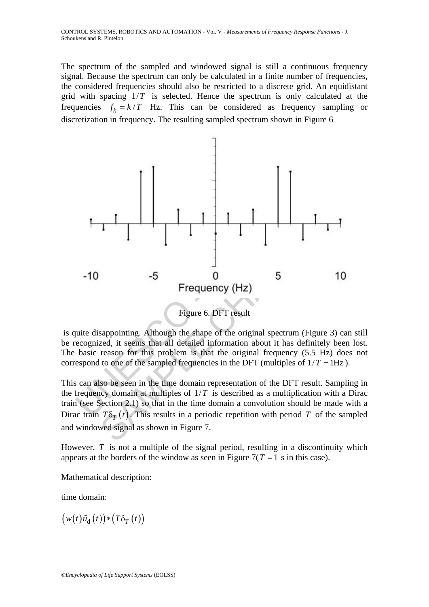The spectrum of the sampled and windowed signal is still a continuous frequency signal. Because the spectrum can only be calculated in a finite number of frequencies, the considered frequencies should also be restricted to a discrete grid. An equidistant grid with spacing  $1/T$  is selected. Hence the spectrum is only calculated at the frequencies  $f_k = k/T$  Hz. This can be considered as frequency sampling or discretization in frequency. The resulting sampled spectrum shown in Figure 6



 is quite disappointing. Although the shape of the original spectrum (Figure 3) can still be recognized, it seems that all detailed information about it has definitely been lost. The basic reason for this problem is that the original frequency (5.5 Hz) does not correspond to one of the sampled frequencies in the DFT (multiples of  $1/T = 1Hz$ ).

This can also be seen in the time domain representation of the DFT result. Sampling in the frequency domain at multiples of  $1/T$  is described as a multiplication with a Dirac train (see Section 2.1) so that in the time domain a convolution should be made with a Dirac train  $T\delta_T(t)$ . This results in a periodic repetition with period T of the sampled and windowed signal as shown in Figure 7.

However, *T* is not a multiple of the signal period, resulting in a discontinuity which appears at the borders of the window as seen in Figure  $7(T = 1 \text{ s in this case})$ .

Mathematical description:

time domain:

 $(w(t) \tilde{u}_d(t)) * (T \delta_T(t))$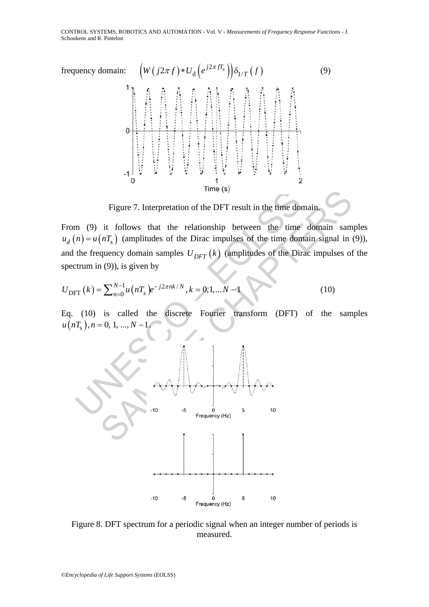CONTROL SYSTEMS, ROBOTICS AND AUTOMATION - Vol. V - *Measurements of Frequency Response Functions* - J. Schoukens and R. Pintelon



Figure 7. Interpretation of the DFT result in the time domain.

From (9) it follows that the relationship between the time domain samples  $u_d(n) = u(nT_s)$  (amplitudes of the Dirac impulses of the time domain signal in (9)), and the frequency domain samples  $U_{DFT}(k)$  (amplitudes of the Dirac impulses of the spectrum in (9)), is given by

$$
U_{\text{DFT}}(k) = \sum_{n=0}^{N-1} u(nT_s) e^{-j2\pi n k/N}, k = 0, 1, \dots N-1
$$
 (10)

Eq. (10) is called the discrete Fourier transform (DFT) of the samples  $u(nT_s), n = 0, 1, ..., N-1$ 



Figure 8. DFT spectrum for a periodic signal when an integer number of periods is measured.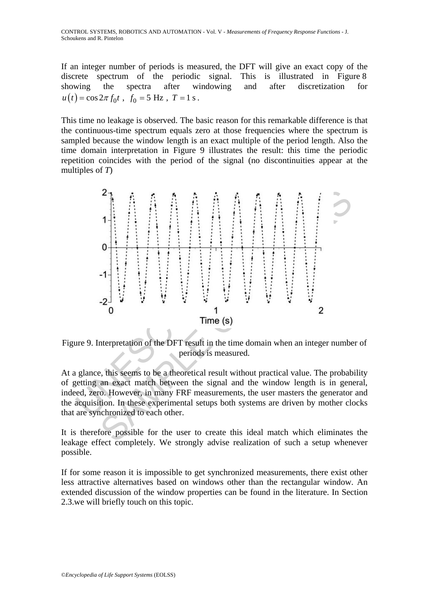If an integer number of periods is measured, the DFT will give an exact copy of the discrete spectrum of the periodic signal. This is illustrated in Figure 8 showing the spectra after windowing and after discretization for  $u(t) = \cos 2\pi f_0 t$ ,  $f_0 = 5$  Hz,  $T = 1$  s.

This time no leakage is observed. The basic reason for this remarkable difference is that the continuous-time spectrum equals zero at those frequencies where the spectrum is sampled because the window length is an exact multiple of the period length. Also the time domain interpretation in Figure 9 illustrates the result: this time the periodic repetition coincides with the period of the signal (no discontinuities appear at the multiples of *T*)



Figure 9. Interpretation of the DFT result in the time domain when an integer number of periods is measured.

At a glance, this seems to be a theoretical result without practical value. The probability of getting an exact match between the signal and the window length is in general, indeed, zero. However, in many FRF measurements, the user masters the generator and the acquisition. In these experimental setups both systems are driven by mother clocks that are synchronized to each other.

It is therefore possible for the user to create this ideal match which eliminates the leakage effect completely. We strongly advise realization of such a setup whenever possible.

If for some reason it is impossible to get synchronized measurements, there exist other less attractive alternatives based on windows other than the rectangular window. An extended discussion of the window properties can be found in the literature. In Section 2.3.we will briefly touch on this topic.